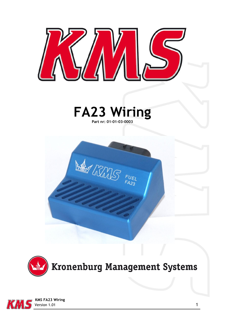

# **FA23 Wiring Part nr: 01-01-03-0003**





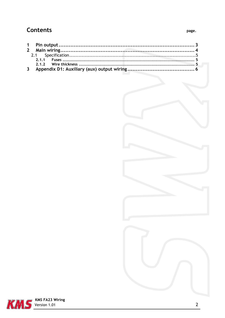## **Contents**





 $\overline{2}$ 

page.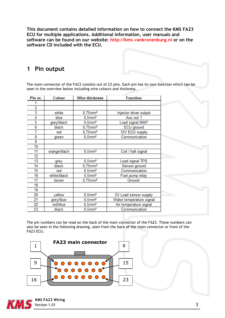**This document contains detailed information on how to connect the KMS FA23 ECU for multiple applications. Additional information, user manuals and software can be found on our website: http://kms.vankronenburg.nl or on the software CD included with the ECU.** 

### <span id="page-2-0"></span>**1 Pin output**

The main connector of the FA23 consists out of 23 pins. Each pin has its own function which can be seen in the overview below including wire colours and thickness.

| Pin nr. | Colour       | <b>Wire thickness</b>  | <b>Function</b>          |
|---------|--------------|------------------------|--------------------------|
|         |              |                        |                          |
| 2       |              |                        |                          |
| 3       | white        | $0.75$ mm <sup>2</sup> | Injector driver output   |
| 4       | blue         | $0.5$ mm <sup>2</sup>  | Aux out 1                |
| 5       | grey/black   | $0.5$ mm <sup>2</sup>  | Load signal MAP          |
| 6       | black        | $0.75$ mm <sup>2</sup> | ECU ground               |
| 7       | red          | $0.75$ mm <sup>2</sup> | 12V ECU supply           |
| 8       | green        | $0.5$ mm <sup>2</sup>  | Communication            |
| 9       |              |                        |                          |
| 10      |              |                        |                          |
| 11      | orange/black | $0.5$ mm <sup>2</sup>  | Coil / hall signal       |
| 12      |              |                        |                          |
| 13      | grey         | $0,5$ mm <sup>2</sup>  | Load signal TPS          |
| 14      | black        | $0,75$ mm <sup>2</sup> | Sensor ground            |
| 15      | red          | $0,5$ mm <sup>2</sup>  | Communication            |
| 16      | white/black  | $0,5$ mm <sup>2</sup>  | Fuel pump relay          |
| 17      | brown        | $0.75$ mm <sup>2</sup> | Ground                   |
| 18      |              |                        |                          |
| 19      |              |                        |                          |
| 20      | yellow       | $0,5$ mm <sup>2</sup>  | 5V Load sensor supply    |
| 21      | grey/blue    | $0,5$ mm <sup>2</sup>  | Water temperature signal |
| 22      | red/blue     | $0,5$ mm <sup>2</sup>  | Air temperature signal   |
| 23      | black        | $0.5$ mm <sup>2</sup>  | Communication            |

The pin numbers can be read on the back of the main connector of the FA23. These numbers can also be seen in the following drawing, seen from the back of the main connector or front of the FA23 ECU.



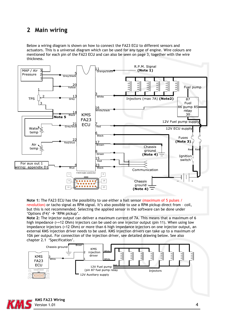### <span id="page-3-0"></span>**2 Main wiring**

Below a wiring diagram is shown on how to connect the FA23 ECU to different sensors and actuators. This is a universal diagram which can be used for any type of engine. Wire colours are mentioned for each pin of the FA23 ECU and can also be seen on page 3, together with the wire thickness.



**Note 1:** The FA23 ECU has the possibility to use either a hall sensor (maximum of 5 pulses / revolution) or tacho signal as RPM signal. It's also possible to use a RPM pickup direct from – coil, but this is not recommended. Selecting the applied sensor in the software can be done under 'Options  $(F4)' \rightarrow 'RPM$  pickup'.

**Note 2:** The injector output can deliver a maximum current of 7A. This means that a maximum of 6 high impedance (>=12 Ohm) injectors can be used on one injector output (pin 11). When using low impedance injectors (<12 Ohm) or more than 6 high impedance injectors on one injector output, an external KMS injection driver needs to be used. KMS injection drivers can take up to a maximum of 10A per output. For connection of the injection driver, see detailed drawing below. See also chapter 2.1 'Specification'.



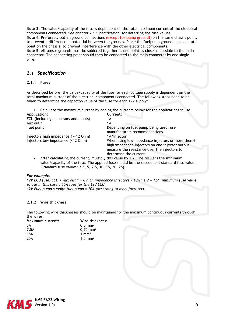**Note 3:** The value/capacity of the fuse is dependent on the total maximum current of the electrical components connected. See chapter 2.1 'Specification' for deterring the fuse values. **Note 4:** Preferably put all ground connections (except fuelpump ground!) on the same chassis point, to prevent a difference in potential between the grounds. Place the fuelpump ground on a separate point on the chassis, to prevent interference with the other electrical components. **Note 5:** All sensor grounds must be soldered together at one point as close as possible to the main connector. The connecting point should then be connected to the main connecter by one single wire.

### <span id="page-4-0"></span>*2.1 Specification*

#### <span id="page-4-1"></span>**2.1.1 Fuses**

As described before, the value/capacity of the fuse for each voltage supply is dependent on the total maximum current of the electrical components connected. The following steps need to be taken to determine the capacity/value of the fuse for each 12V supply:

1. Calculate the maximum current by adding the currents below for the applications in use.

| <b>Application:</b>                    | Current:                                                                                                                                                                        |
|----------------------------------------|---------------------------------------------------------------------------------------------------------------------------------------------------------------------------------|
| ECU (including all sensors and inputs) | 1Α                                                                                                                                                                              |
| Aux out 1                              | 1Α                                                                                                                                                                              |
| Fuel pump                              | Depending on fuel pump being used, use<br>manufacturers recommendations.                                                                                                        |
| Injectors high impedance (>=12 Ohm)    | 1A/injector                                                                                                                                                                     |
| Injectors low impedance (<12 Ohm)      | When using low impedance injectors or more then 6<br>high impedance injectors on one injector output,<br>measure the resistance over the injectors to<br>determine the current. |

2. After calculating the current, multiply this value by 1,2. The result is the **minimum** value/capacity of the fuse. The applied fuse should be the subsequent standard fuse value. (Standard fuse values: 2.5, 5, 7.5, 10, 15, 20, 25)

#### *For example:*

*12V ECU fuse: ECU + Aux out 1 + 8 high impedance injectors = 10A \* 1,2 = 12A: minimum fuse value, so use in this case a 15A fuse for the 12V ECU. 12V Fuel pump supply: fuel pump = 20A (according to manufacturer).*

#### <span id="page-4-2"></span>**2.1.2 Wire thickness**

The following wire thicknesses should be maintained for the maximum continuous currents through the wires:

| Maximum current: | Wire thickness:      |  |
|------------------|----------------------|--|
| 3А               | $0,5 \, \text{mm}^2$ |  |
| 7,5A             | $0,75 \text{ mm}^2$  |  |
| 15A              | 1 mm <sup>2</sup>    |  |
| 25A              | $1,5 \, \text{mm}^2$ |  |